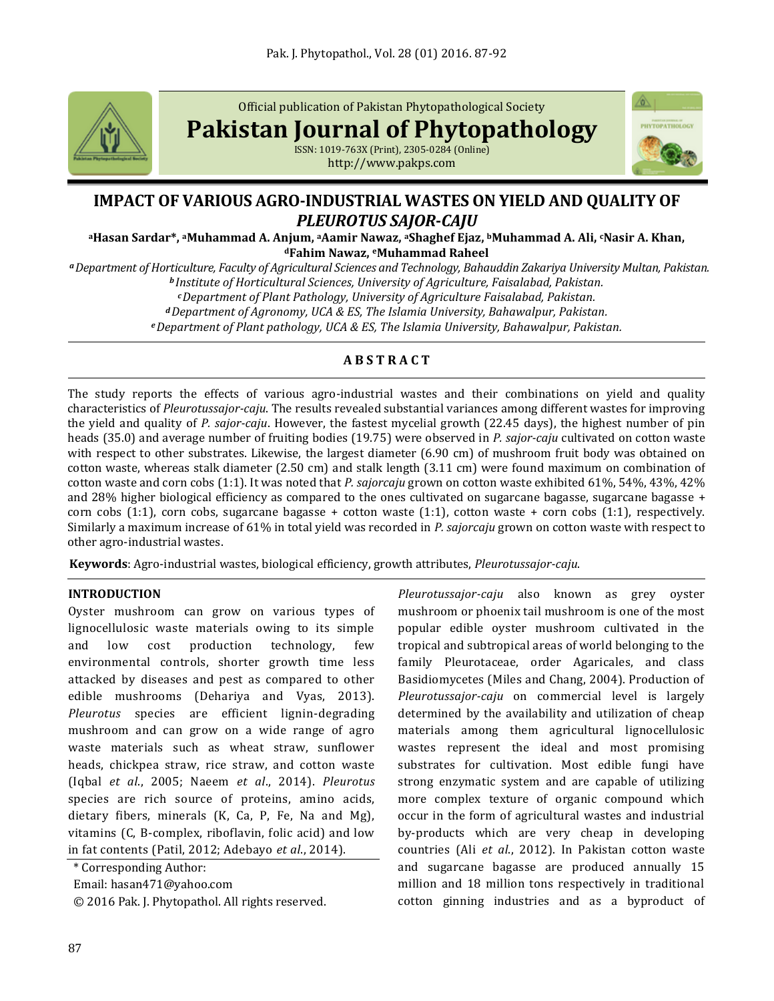

Official publication of Pakistan Phytopathological Society

**Pakistan Journal of Phytopathology**

ISSN: 1019-763X (Print), 2305-0284 (Online) http://www.pakps.com



# **IMPACT OF VARIOUS AGRO-INDUSTRIAL WASTES ON YIELD AND QUALITY OF**  *PLEUROTUS SAJOR***-***CAJU*

**<sup>a</sup>Hasan Sardar\*, aMuhammad A. Anjum, <sup>a</sup>Aamir Nawaz, aShaghef Ejaz, bMuhammad A. Ali, cNasir A. Khan, <sup>d</sup>Fahim Nawaz, eMuhammad Raheel**

*<sup>a</sup>Department of Horticulture, Faculty of Agricultural Sciences and Technology, Bahauddin Zakariya University Multan, Pakistan. <sup>b</sup> Institute of Horticultural Sciences, University of Agriculture, Faisalabad, Pakistan. <sup>c</sup>Department of Plant Pathology, University of Agriculture Faisalabad, Pakistan. <sup>d</sup>Department of Agronomy, UCA & ES, The Islamia University, Bahawalpur, Pakistan.*

*<sup>e</sup>Department of Plant pathology, UCA & ES, The Islamia University, Bahawalpur, Pakistan.*

# **A B S T R A C T**

The study reports the effects of various agro-industrial wastes and their combinations on yield and quality characteristics of *Pleurotussajor-caju*. The results revealed substantial variances among different wastes for improving the yield and quality of *P. sajor-caju*. However, the fastest mycelial growth (22.45 days), the highest number of pin heads (35.0) and average number of fruiting bodies (19.75) were observed in *P. sajor-caju* cultivated on cotton waste with respect to other substrates. Likewise, the largest diameter (6.90 cm) of mushroom fruit body was obtained on cotton waste, whereas stalk diameter (2.50 cm) and stalk length (3.11 cm) were found maximum on combination of cotton waste and corn cobs (1:1). It was noted that *P. sajorcaju* grown on cotton waste exhibited 61%, 54%, 43%, 42% and 28% higher biological efficiency as compared to the ones cultivated on sugarcane bagasse, sugarcane bagasse + corn cobs (1:1), corn cobs, sugarcane bagasse + cotton waste (1:1), cotton waste + corn cobs (1:1), respectively. Similarly a maximum increase of 61% in total yield was recorded in *P. sajorcaju* grown on cotton waste with respect to other agro-industrial wastes.

**Keywords**: Agro-industrial wastes, biological efficiency, growth attributes, *Pleurotussajor-caju*.

# **INTRODUCTION**

Oyster mushroom can grow on various types of lignocellulosic waste materials owing to its simple and low cost production technology, few environmental controls, shorter growth time less attacked by diseases and pest as compared to other edible mushrooms (Dehariya and Vyas, 2013). *Pleurotus* species are efficient lignin-degrading mushroom and can grow on a wide range of agro waste materials such as wheat straw, sunflower heads, chickpea straw, rice straw, and cotton waste (Iqbal *et al*., 2005; Naeem *et al*., 2014). *Pleurotus* species are rich source of proteins, amino acids, dietary fibers, minerals (K, Ca, P, Fe, Na and Mg), vitamins (C, B-complex, riboflavin, folic acid) and low in fat contents (Patil, 2012; Adebayo *et al*., 2014).

\* Corresponding Author:

Email: hasan471@yahoo.com

© 2016 Pak. J. Phytopathol. All rights reserved.

*Pleurotussajor-caju* also known as grey oyster mushroom or phoenix tail mushroom is one of the most popular edible oyster mushroom cultivated in the tropical and subtropical areas of world belonging to the family Pleurotaceae, order Agaricales, and class Basidiomycetes (Miles and Chang, 2004). Production of *Pleurotussajor-caju* on commercial level is largely determined by the availability and utilization of cheap materials among them agricultural lignocellulosic wastes represent the ideal and most promising substrates for cultivation. Most edible fungi have strong enzymatic system and are capable of utilizing more complex texture of organic compound which occur in the form of agricultural wastes and industrial by-products which are very cheap in developing countries (Ali *et al*., 2012). In Pakistan cotton waste and sugarcane bagasse are produced annually 15 million and 18 million tons respectively in traditional cotton ginning industries and as a byproduct of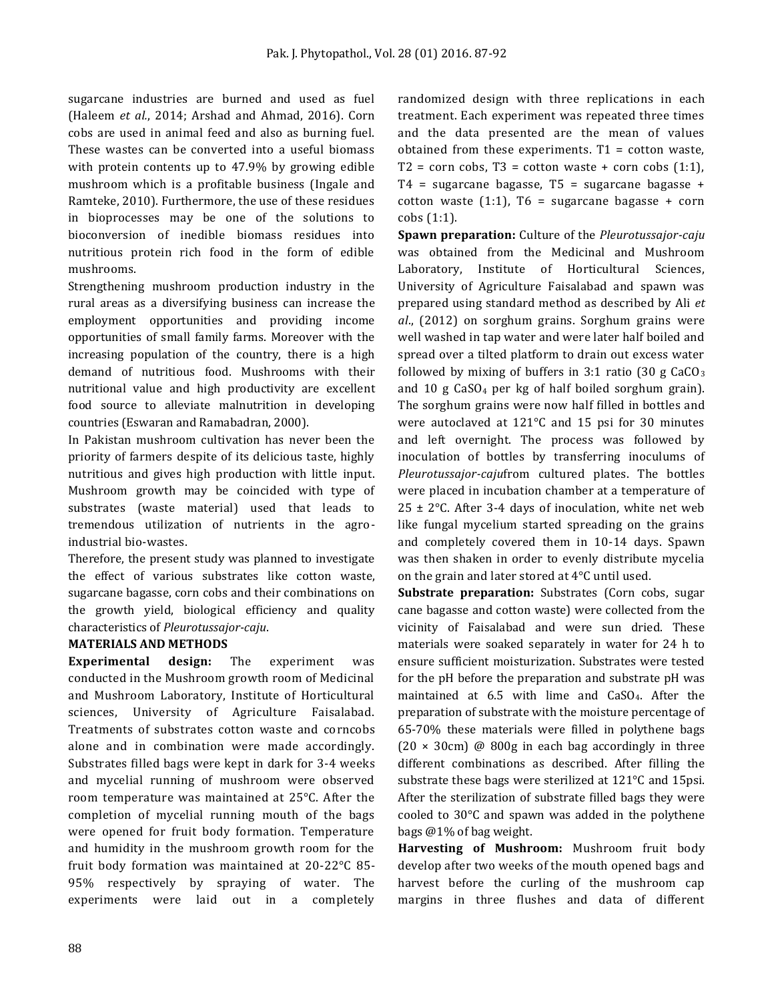sugarcane industries are burned and used as fuel (Haleem *et al.*, 2014; Arshad and Ahmad, 2016). Corn cobs are used in animal feed and also as burning fuel. These wastes can be converted into a useful biomass with protein contents up to 47.9% by growing edible mushroom which is a profitable business (Ingale and Ramteke, 2010). Furthermore, the use of these residues in bioprocesses may be one of the solutions to bioconversion of inedible biomass residues into nutritious protein rich food in the form of edible mushrooms.

Strengthening mushroom production industry in the rural areas as a diversifying business can increase the employment opportunities and providing income opportunities of small family farms. Moreover with the increasing population of the country, there is a high demand of nutritious food. Mushrooms with their nutritional value and high productivity are excellent food source to alleviate malnutrition in developing countries (Eswaran and Ramabadran, 2000).

In Pakistan mushroom cultivation has never been the priority of farmers despite of its delicious taste, highly nutritious and gives high production with little input. Mushroom growth may be coincided with type of substrates (waste material) used that leads to tremendous utilization of nutrients in the agroindustrial bio-wastes.

Therefore, the present study was planned to investigate the effect of various substrates like cotton waste, sugarcane bagasse, corn cobs and their combinations on the growth yield, biological efficiency and quality characteristics of *Pleurotussajor-caju*.

# **MATERIALS AND METHODS**

**Experimental design:** The experiment was conducted in the Mushroom growth room of Medicinal and Mushroom Laboratory, Institute of Horticultural sciences, University of Agriculture Faisalabad. Treatments of substrates cotton waste and corncobs alone and in combination were made accordingly. Substrates filled bags were kept in dark for 3-4 weeks and mycelial running of mushroom were observed room temperature was maintained at 25°C. After the completion of mycelial running mouth of the bags were opened for fruit body formation. Temperature and humidity in the mushroom growth room for the fruit body formation was maintained at 20-22°C 85- 95% respectively by spraying of water. The experiments were laid out in a completely

randomized design with three replications in each treatment. Each experiment was repeated three times and the data presented are the mean of values obtained from these experiments.  $T1 = \text{cottom waste}$ ,  $T2 = \text{corn cobs}, T3 = \text{cottom waste} + \text{corn cobs } (1:1),$ T4 = sugarcane bagasse, T5 = sugarcane bagasse + cotton waste  $(1:1)$ , T6 = sugarcane bagasse + corn cobs (1:1).

**Spawn preparation:** Culture of the *Pleurotussajor-caju* was obtained from the Medicinal and Mushroom Laboratory, Institute of Horticultural Sciences, University of Agriculture Faisalabad and spawn was prepared using standard method as described by Ali *et al*., (2012) on sorghum grains. Sorghum grains were well washed in tap water and were later half boiled and spread over a tilted platform to drain out excess water followed by mixing of buffers in 3:1 ratio (30 g  $CaCO<sub>3</sub>$ ) and 10 g CaSO<sup>4</sup> per kg of half boiled sorghum grain). The sorghum grains were now half filled in bottles and were autoclaved at 121°C and 15 psi for 30 minutes and left overnight. The process was followed by inoculation of bottles by transferring inoculums of *Pleurotussajor-caju*from cultured plates. The bottles were placed in incubation chamber at a temperature of  $25 \pm 2$ °C. After 3-4 days of inoculation, white net web like fungal mycelium started spreading on the grains and completely covered them in 10-14 days. Spawn was then shaken in order to evenly distribute mycelia on the grain and later stored at 4°C until used.

**Substrate preparation:** Substrates (Corn cobs, sugar cane bagasse and cotton waste) were collected from the vicinity of Faisalabad and were sun dried. These materials were soaked separately in water for 24 h to ensure sufficient moisturization. Substrates were tested for the pH before the preparation and substrate pH was maintained at 6.5 with lime and CaSO4. After the preparation of substrate with the moisture percentage of 65-70% these materials were filled in polythene bags  $(20 \times 30 \text{cm})$  @ 800g in each bag accordingly in three different combinations as described. After filling the substrate these bags were sterilized at 121°C and 15psi. After the sterilization of substrate filled bags they were cooled to 30°C and spawn was added in the polythene bags @1% of bag weight.

**Harvesting of Mushroom:** Mushroom fruit body develop after two weeks of the mouth opened bags and harvest before the curling of the mushroom cap margins in three flushes and data of different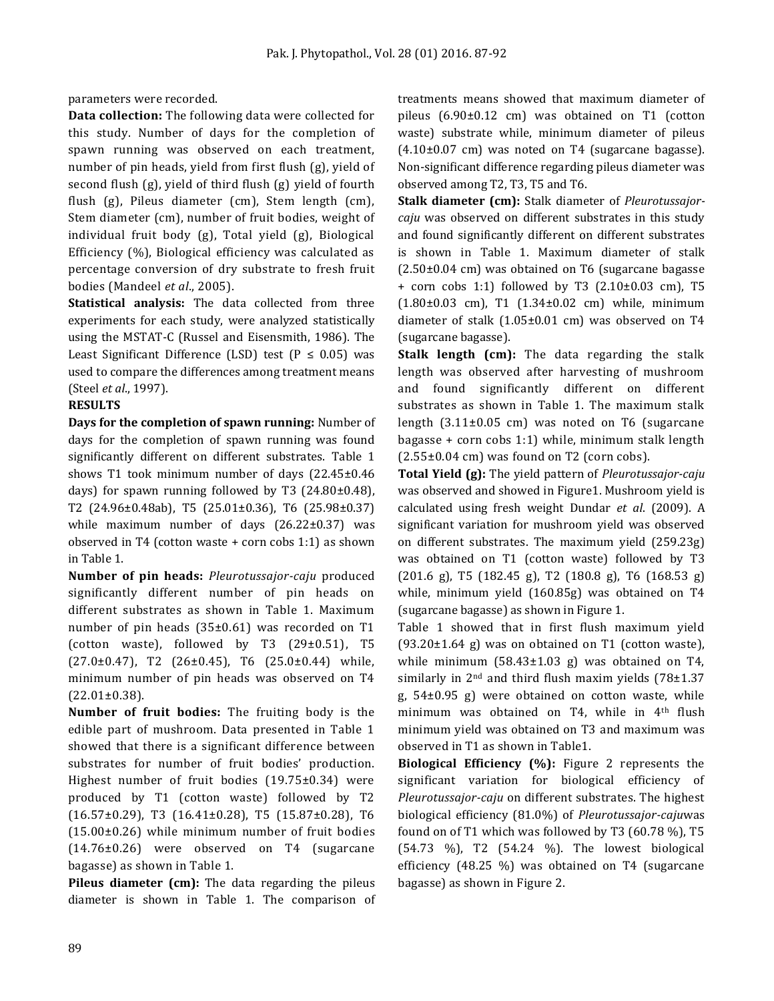parameters were recorded.

**Data collection:** The following data were collected for this study. Number of days for the completion of spawn running was observed on each treatment, number of pin heads, yield from first flush (g), yield of second flush (g), yield of third flush (g) yield of fourth flush (g), Pileus diameter (cm), Stem length (cm), Stem diameter (cm), number of fruit bodies, weight of individual fruit body (g), Total yield (g), Biological Efficiency (%), Biological efficiency was calculated as percentage conversion of dry substrate to fresh fruit bodies (Mandeel *et al*., 2005).

**Statistical analysis:** The data collected from three experiments for each study, were analyzed statistically using the MSTAT-C (Russel and Eisensmith, 1986). The Least Significant Difference (LSD) test ( $P \le 0.05$ ) was used to compare the differences among treatment means (Steel *et al*., 1997).

### **RESULTS**

**Days for the completion of spawn running:** Number of days for the completion of spawn running was found significantly different on different substrates. Table 1 shows T1 took minimum number of days (22.45±0.46 days) for spawn running followed by T3 (24.80±0.48), T2 (24.96±0.48ab), T5 (25.01±0.36), T6 (25.98±0.37) while maximum number of days (26.22±0.37) was observed in T4 (cotton waste + corn cobs 1:1) as shown in Table 1.

**Number of pin heads:** *Pleurotussajor-caju* produced significantly different number of pin heads on different substrates as shown in Table 1. Maximum number of pin heads (35±0.61) was recorded on T1 (cotton waste), followed by T3  $(29\pm0.51)$ , T5  $(27.0\pm0.47)$ , T2  $(26\pm0.45)$ , T6  $(25.0\pm0.44)$  while, minimum number of pin heads was observed on T4 (22.01±0.38).

**Number of fruit bodies:** The fruiting body is the edible part of mushroom. Data presented in Table 1 showed that there is a significant difference between substrates for number of fruit bodies' production. Highest number of fruit bodies (19.75±0.34) were produced by T1 (cotton waste) followed by T2 (16.57±0.29), T3 (16.41±0.28), T5 (15.87±0.28), T6 (15.00±0.26) while minimum number of fruit bodies (14.76±0.26) were observed on T4 (sugarcane bagasse) as shown in Table 1.

Pileus diameter (cm): The data regarding the pileus diameter is shown in Table 1. The comparison of treatments means showed that maximum diameter of pileus (6.90±0.12 cm) was obtained on T1 (cotton waste) substrate while, minimum diameter of pileus  $(4.10\pm0.07$  cm) was noted on T4 (sugarcane bagasse). Non-significant difference regarding pileus diameter was observed among T2, T3, T5 and T6.

**Stalk diameter (cm):** Stalk diameter of *Pleurotussajorcaju* was observed on different substrates in this study and found significantly different on different substrates is shown in Table 1. Maximum diameter of stalk (2.50±0.04 cm) was obtained on T6 (sugarcane bagasse + corn cobs 1:1) followed by T3 (2.10±0.03 cm), T5 (1.80±0.03 cm), T1 (1.34±0.02 cm) while, minimum diameter of stalk (1.05±0.01 cm) was observed on T4 (sugarcane bagasse).

**Stalk length (cm):** The data regarding the stalk length was observed after harvesting of mushroom and found significantly different on different substrates as shown in Table 1. The maximum stalk length (3.11±0.05 cm) was noted on T6 (sugarcane bagasse + corn cobs 1:1) while, minimum stalk length  $(2.55\pm0.04 \text{ cm})$  was found on T2 (corn cobs).

**Total Yield (g):** The yield pattern of *Pleurotussajor-caju* was observed and showed in Figure1. Mushroom yield is calculated using fresh weight Dundar *et al*. (2009). A significant variation for mushroom yield was observed on different substrates. The maximum yield (259.23g) was obtained on T1 (cotton waste) followed by T3 (201.6 g), T5 (182.45 g), T2 (180.8 g), T6 (168.53 g) while, minimum yield (160.85g) was obtained on T4 (sugarcane bagasse) as shown in Figure 1.

Table 1 showed that in first flush maximum yield  $(93.20\pm1.64 \text{ g})$  was on obtained on T1 (cotton waste), while minimum (58.43±1.03 g) was obtained on T4, similarly in  $2<sup>nd</sup>$  and third flush maxim yields (78 $\pm$ 1.37 g, 54±0.95 g) were obtained on cotton waste, while minimum was obtained on T4, while in 4th flush minimum yield was obtained on T3 and maximum was observed in T1 as shown in Table1.

**Biological Efficiency (%):** Figure 2 represents the significant variation for biological efficiency of *Pleurotussajor-caju* on different substrates. The highest biological efficiency (81.0%) of *Pleurotussajor-caju*was found on of T1 which was followed by T3 (60.78 %), T5 (54.73 %), T2 (54.24 %). The lowest biological efficiency (48.25 %) was obtained on T4 (sugarcane bagasse) as shown in Figure 2.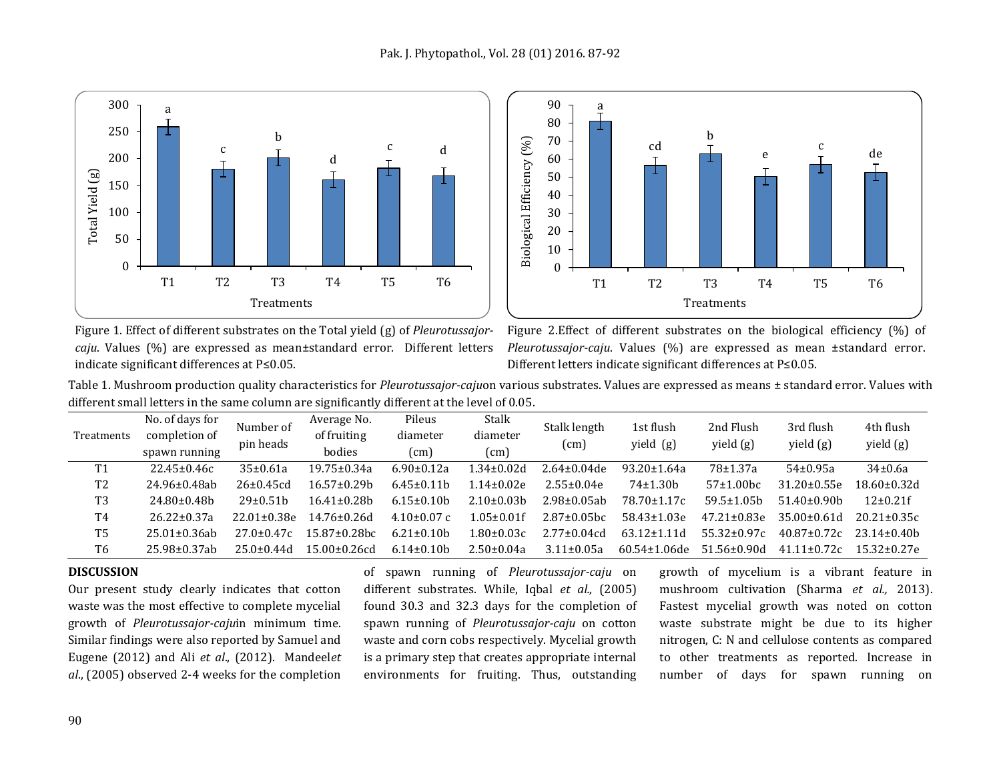



Figure 1. Effect of different substrates on the Total yield (g) of *Pleurotussajorcaju*. Values (%) are expressed as mean±standard error. Different letters indicate significant differences at P≤0.05.



Table 1. Mushroom production quality characteristics for *Pleurotussajor-caju*on various substrates. Values are expressed as means ± standard error. Values with different small letters in the same column are significantly different at the level of 0.05.

| Treatments     | No. of days for<br>completion of<br>spawn running | Number of<br>pin heads | Average No.<br>of fruiting<br>bodies | Pileus<br>diameter<br>(cm) | Stalk<br>diameter<br>(cm) | Stalk length<br>(cm) | 1st flush<br>yield (g) | 2nd Flush<br>yield $(g)$ | 3rd flush<br>yield (g) | 4th flush<br>yield (g) |
|----------------|---------------------------------------------------|------------------------|--------------------------------------|----------------------------|---------------------------|----------------------|------------------------|--------------------------|------------------------|------------------------|
| T1             | $22.45 \pm 0.46c$                                 | 35±0.61a               | 19.75±0.34a                          | $6.90 \pm 0.12a$           | $1.34 \pm 0.02d$          | $2.64 \pm 0.04$ de   | $93.20 \pm 1.64a$      | 78±1.37a                 | $54 \pm 0.95a$         | 34±0.6a                |
| T <sub>2</sub> | 24.96±0.48ab                                      | $26 \pm 0.45$ cd       | $16.57 \pm 0.29$ h                   | $6.45 \pm 0.11$ b          | $1.14 \pm 0.02e$          | $2.55 \pm 0.04e$     | $74\pm1.30h$           | $57±1.00$ bc             | $31.20 \pm 0.55e$      | $18.60 \pm 0.32$ d     |
| T3             | $24.80 \pm 0.48$                                  | $29 \pm 0.51$ h        | $16.41 \pm 0.28$ h                   | $6.15 \pm 0.10$ h          | $2.10 \pm 0.03$           | 2.98±0.05ab          | 78.70±1.17c            | $59.5 \pm 1.05$ h        | $51.40\pm0.90b$        | $12 \pm 0.21$ f        |
| T4             | $26.22 \pm 0.37a$                                 | $22.01 + 0.38e$        | $14.76 \pm 0.26$ d                   | $4.10\pm0.07$ c            | 1.05±0.01f                | $2.87 \pm 0.05$ bc   | $58.43 \pm 1.03e$      | $47.21 \pm 0.83e$        | $35.00\pm0.61d$        | $20.21 \pm 0.35c$      |
| T5             | $25.01 \pm 0.36$ ab                               | $27.0 \pm 0.47c$       | 15.87±0.28bc                         | $6.21 \pm 0.10$ h          | 1.80±0.03c                | $2.77 \pm 0.04$ cd   | $63.12 \pm 1.11d$      | $55.32 \pm 0.97c$        | $40.87 \pm 0.72c$      | $23.14 \pm 0.40$       |
| T6             | 25.98±0.37ab                                      | $25.0 + 0.44$ d        | $15.00 \pm 0.26$ cd                  | $6.14 \pm 0.10$ h          | $2.50 \pm 0.04a$          | $3.11 \pm 0.05a$     | $60.54 \pm 1.06$ de    | $51.56 \pm 0.90$ d       | $41.11 \pm 0.72c$      | $15.32 \pm 0.27e$      |

#### **DISCUSSION**

Our present study clearly indicates that cotton waste was the most effective to complete mycelial growth of *Pleurotussajor-caju*in minimum time. Similar findings were also reported by Samuel and Eugene (2012) and Ali *et al*., (2012). Mandeel*et al*., (2005) observed 2-4 weeks for the completion

of spawn running of *Pleurotussajor-caju* on different substrates. While, Iqbal *et al.,* (2005) found 30.3 and 32.3 days for the completion of spawn running of *Pleurotussajor-caju* on cotton waste and corn cobs respectively. Mycelial growth is a primary step that creates appropriate internal environments for fruiting. Thus, outstanding growth of mycelium is a vibrant feature in mushroom cultivation (Sharma *et al.,* 2013). Fastest mycelial growth was noted on cotton waste substrate might be due to its higher nitrogen, C: N and cellulose contents as compared to other treatments as reported. Increase in number of days for spawn running on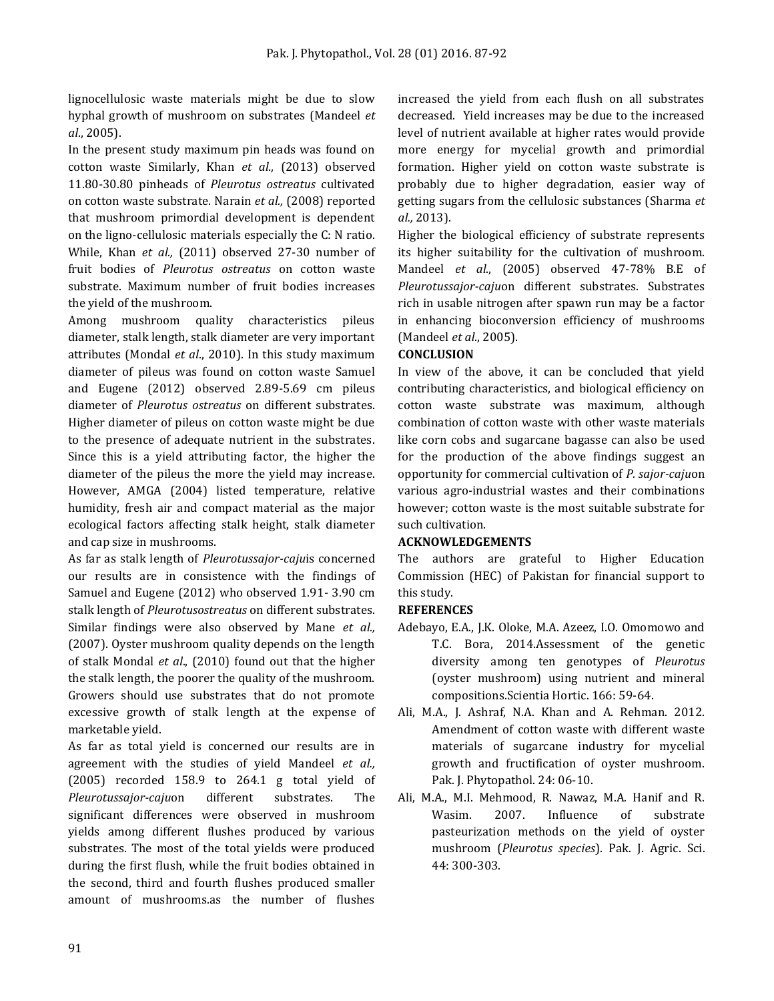lignocellulosic waste materials might be due to slow hyphal growth of mushroom on substrates (Mandeel *et al*., 2005).

In the present study maximum pin heads was found on cotton waste Similarly, Khan *et al.,* (2013) observed 11.80-30.80 pinheads of *Pleurotus ostreatus* cultivated on cotton waste substrate. Narain *et al.,* (2008) reported that mushroom primordial development is dependent on the ligno-cellulosic materials especially the C: N ratio. While, Khan *et al.,* (2011) observed 27-30 number of fruit bodies of *Pleurotus ostreatus* on cotton waste substrate. Maximum number of fruit bodies increases the yield of the mushroom.

Among mushroom quality characteristics pileus diameter, stalk length, stalk diameter are very important attributes (Mondal *et al*., 2010). In this study maximum diameter of pileus was found on cotton waste Samuel and Eugene (2012) observed 2.89-5.69 cm pileus diameter of *Pleurotus ostreatus* on different substrates. Higher diameter of pileus on cotton waste might be due to the presence of adequate nutrient in the substrates. Since this is a yield attributing factor, the higher the diameter of the pileus the more the yield may increase. However, AMGA (2004) listed temperature, relative humidity, fresh air and compact material as the major ecological factors affecting stalk height, stalk diameter and cap size in mushrooms.

As far as stalk length of *Pleurotussajor-caju*is concerned our results are in consistence with the findings of Samuel and Eugene (2012) who observed 1.91- 3.90 cm stalk length of *Pleurotusostreatus* on different substrates. Similar findings were also observed by Mane *et al.,* (2007). Oyster mushroom quality depends on the length of stalk Mondal *et al*., (2010) found out that the higher the stalk length, the poorer the quality of the mushroom. Growers should use substrates that do not promote excessive growth of stalk length at the expense of marketable yield.

As far as total yield is concerned our results are in agreement with the studies of yield Mandeel *et al.,* (2005) recorded 158.9 to 264.1 g total yield of *Pleurotussajor-caju*on different substrates. The significant differences were observed in mushroom yields among different flushes produced by various substrates. The most of the total yields were produced during the first flush, while the fruit bodies obtained in the second, third and fourth flushes produced smaller amount of mushrooms.as the number of flushes

increased the yield from each flush on all substrates decreased. Yield increases may be due to the increased level of nutrient available at higher rates would provide more energy for mycelial growth and primordial formation. Higher yield on cotton waste substrate is probably due to higher degradation, easier way of getting sugars from the cellulosic substances (Sharma *et al.,* 2013).

Higher the biological efficiency of substrate represents its higher suitability for the cultivation of mushroom. Mandeel *et al*., (2005) observed 47-78% B.E of *Pleurotussajor-caju*on different substrates. Substrates rich in usable nitrogen after spawn run may be a factor in enhancing bioconversion efficiency of mushrooms (Mandeel *et al*., 2005).

# **CONCLUSION**

In view of the above, it can be concluded that yield contributing characteristics, and biological efficiency on cotton waste substrate was maximum, although combination of cotton waste with other waste materials like corn cobs and sugarcane bagasse can also be used for the production of the above findings suggest an opportunity for commercial cultivation of *P. sajor-caju*on various agro-industrial wastes and their combinations however; cotton waste is the most suitable substrate for such cultivation.

# **ACKNOWLEDGEMENTS**

The authors are grateful to Higher Education Commission (HEC) of Pakistan for financial support to this study.

#### **REFERENCES**

- Adebayo, E.A., J.K. Oloke, M.A. Azeez, I.O. Omomowo and T.C. Bora, 2014.Assessment of the genetic diversity among ten genotypes of *Pleurotus* (oyster mushroom) using nutrient and mineral compositions.Scientia Hortic. 166: 59-64.
- Ali, M.A., J. Ashraf, N.A. Khan and A. Rehman. 2012. Amendment of cotton waste with different waste materials of sugarcane industry for mycelial growth and fructification of oyster mushroom. Pak. J. Phytopathol. 24: 06-10.
- Ali, M.A., M.I. Mehmood, R. Nawaz, M.A. Hanif and R. Wasim. 2007. Influence of substrate pasteurization methods on the yield of oyster mushroom (*Pleurotus species*). Pak. J. Agric. Sci. 44: 300-303.